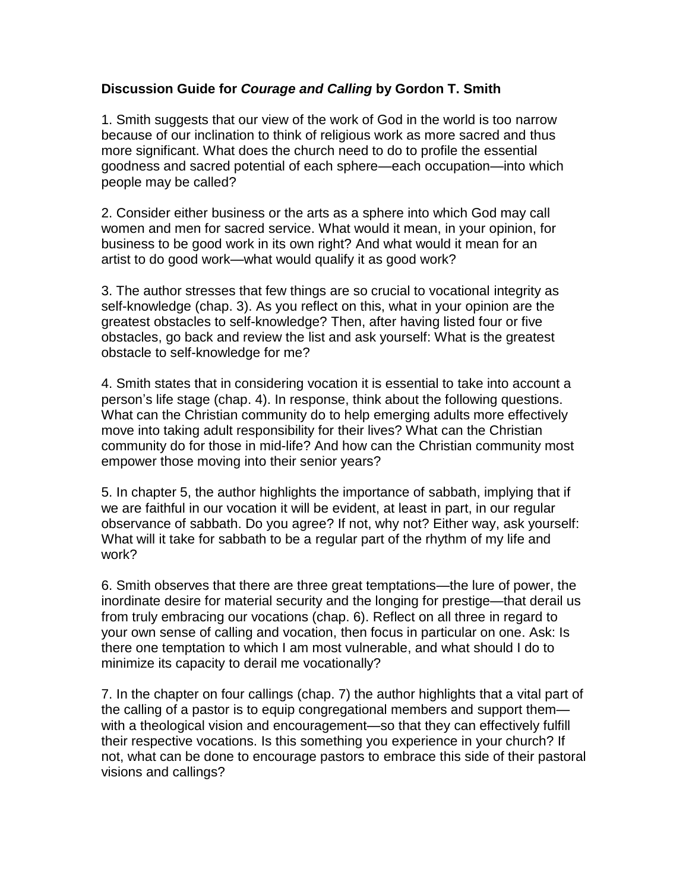## **Discussion Guide for** *Courage and Calling* **by Gordon T. Smith**

1. Smith suggests that our view of the work of God in the world is too narrow because of our inclination to think of religious work as more sacred and thus more significant. What does the church need to do to profile the essential goodness and sacred potential of each sphere—each occupation—into which people may be called?

2. Consider either business or the arts as a sphere into which God may call women and men for sacred service. What would it mean, in your opinion, for business to be good work in its own right? And what would it mean for an artist to do good work—what would qualify it as good work?

3. The author stresses that few things are so crucial to vocational integrity as self-knowledge (chap. 3). As you reflect on this, what in your opinion are the greatest obstacles to self-knowledge? Then, after having listed four or five obstacles, go back and review the list and ask yourself: What is the greatest obstacle to self-knowledge for me?

4. Smith states that in considering vocation it is essential to take into account a person's life stage (chap. 4). In response, think about the following questions. What can the Christian community do to help emerging adults more effectively move into taking adult responsibility for their lives? What can the Christian community do for those in mid-life? And how can the Christian community most empower those moving into their senior years?

5. In chapter 5, the author highlights the importance of sabbath, implying that if we are faithful in our vocation it will be evident, at least in part, in our regular observance of sabbath. Do you agree? If not, why not? Either way, ask yourself: What will it take for sabbath to be a regular part of the rhythm of my life and work?

6. Smith observes that there are three great temptations—the lure of power, the inordinate desire for material security and the longing for prestige—that derail us from truly embracing our vocations (chap. 6). Reflect on all three in regard to your own sense of calling and vocation, then focus in particular on one. Ask: Is there one temptation to which I am most vulnerable, and what should I do to minimize its capacity to derail me vocationally?

7. In the chapter on four callings (chap. 7) the author highlights that a vital part of the calling of a pastor is to equip congregational members and support them with a theological vision and encouragement—so that they can effectively fulfill their respective vocations. Is this something you experience in your church? If not, what can be done to encourage pastors to embrace this side of their pastoral visions and callings?